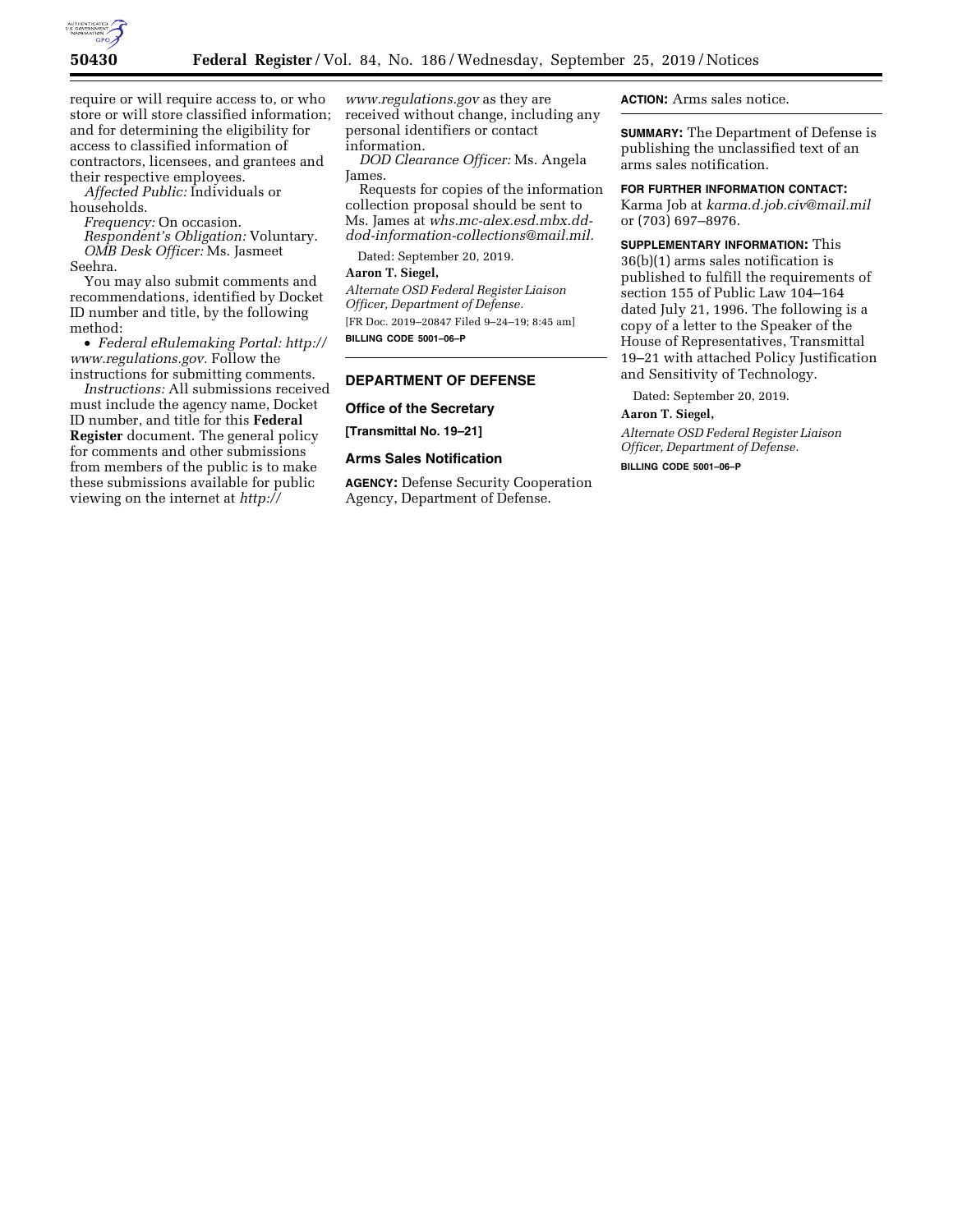

require or will require access to, or who store or will store classified information; and for determining the eligibility for access to classified information of contractors, licensees, and grantees and their respective employees.

*Affected Public:* Individuals or households.

*Frequency:* On occasion.

*Respondent's Obligation:* Voluntary. *OMB Desk Officer:* Ms. Jasmeet Seehra.

You may also submit comments and recommendations, identified by Docket ID number and title, by the following method:

• *Federal eRulemaking Portal: [http://](http://www.regulations.gov)  [www.regulations.gov.](http://www.regulations.gov)* Follow the instructions for submitting comments.

*Instructions:* All submissions received must include the agency name, Docket ID number, and title for this **Federal Register** document. The general policy for comments and other submissions from members of the public is to make these submissions available for public viewing on the internet at *[http://](http://www.regulations.gov)*

*[www.regulations.gov](http://www.regulations.gov)* as they are received without change, including any personal identifiers or contact information.

*DOD Clearance Officer:* Ms. Angela James.

Requests for copies of the information collection proposal should be sent to Ms. James at *[whs.mc-alex.esd.mbx.dd](mailto:whs.mc-alex.esd.mbx.dd-dod-information-collections@mail.mil)[dod-information-collections@mail.mil.](mailto:whs.mc-alex.esd.mbx.dd-dod-information-collections@mail.mil)* 

Dated: September 20, 2019.

**Aaron T. Siegel,** 

*Alternate OSD Federal Register Liaison Officer, Department of Defense.*  [FR Doc. 2019–20847 Filed 9–24–19; 8:45 am] **BILLING CODE 5001–06–P** 

## **DEPARTMENT OF DEFENSE**

**Office of the Secretary** 

**[Transmittal No. 19–21]** 

#### **Arms Sales Notification**

**AGENCY:** Defense Security Cooperation Agency, Department of Defense.

**ACTION:** Arms sales notice.

**SUMMARY:** The Department of Defense is publishing the unclassified text of an arms sales notification.

**FOR FURTHER INFORMATION CONTACT:**  Karma Job at *[karma.d.job.civ@mail.mil](mailto:karma.d.job.civ@mail.mil)*  or (703) 697–8976.

**SUPPLEMENTARY INFORMATION:** This 36(b)(1) arms sales notification is published to fulfill the requirements of section 155 of Public Law 104–164 dated July 21, 1996. The following is a copy of a letter to the Speaker of the House of Representatives, Transmittal 19–21 with attached Policy Justification and Sensitivity of Technology.

Dated: September 20, 2019.

## **Aaron T. Siegel,**

*Alternate OSD Federal Register Liaison Officer, Department of Defense.* 

**BILLING CODE 5001–06–P**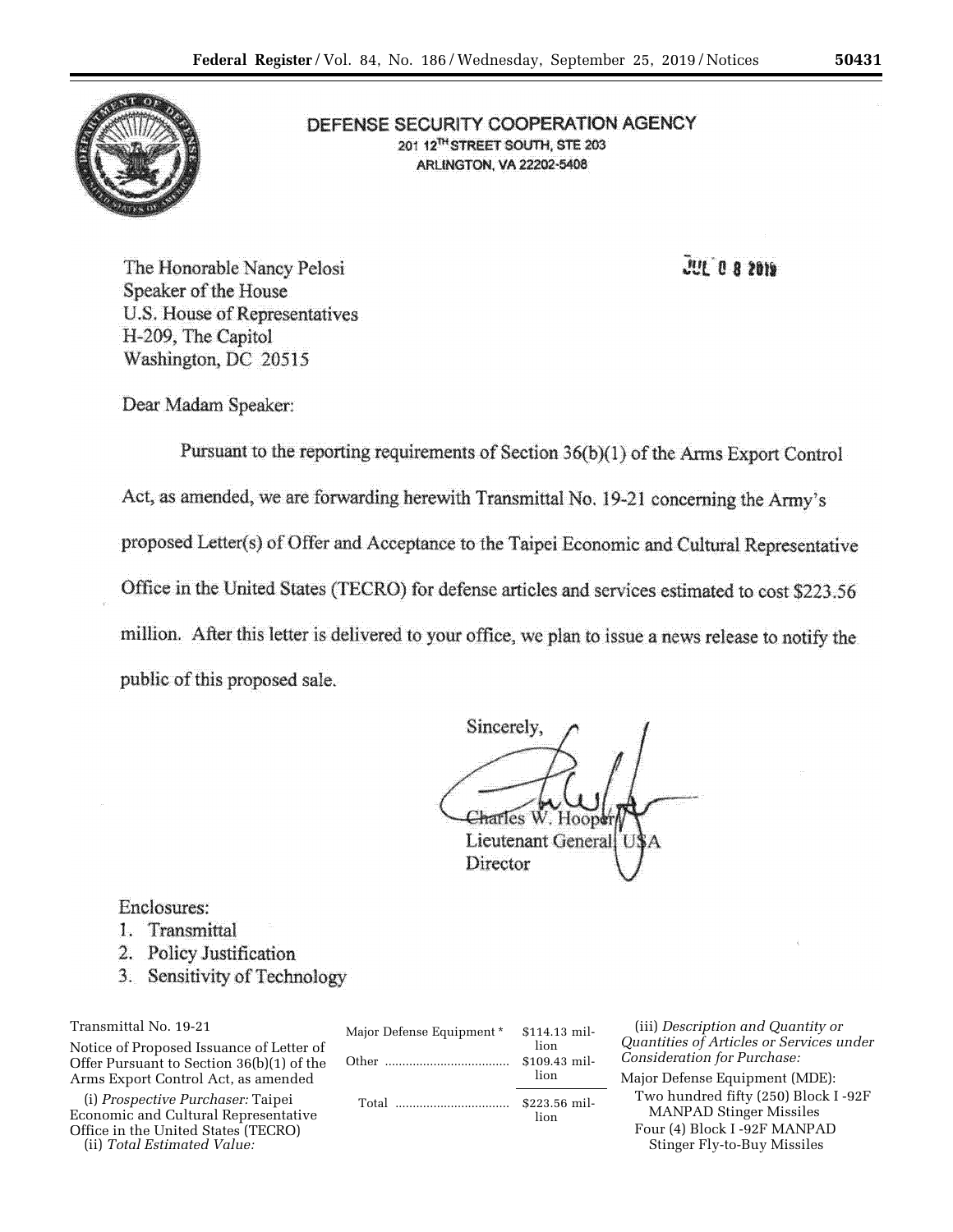

# DEFENSE SECURITY COOPERATION AGENCY 201 12<sup>TH</sup> STREET SOUTH, STE 203 **ARLINGTON, VA 22202-5408**

 $\overline{0}$   $\overline{0}$   $\overline{0}$   $\overline{0}$   $\overline{0}$   $\overline{0}$   $\overline{0}$   $\overline{0}$   $\overline{0}$   $\overline{0}$   $\overline{0}$   $\overline{0}$   $\overline{0}$   $\overline{0}$   $\overline{0}$   $\overline{0}$   $\overline{0}$   $\overline{0}$   $\overline{0}$   $\overline{0}$   $\overline{0}$   $\overline{0}$   $\overline{0}$   $\overline{0}$   $\overline{$ 

The Honorable Nancy Pelosi Speaker of the House U.S. House of Representatives H-209, The Capitol Washington, DC 20515

Dear Madam Speaker:

Pursuant to the reporting requirements of Section 36(b)(1) of the Arms Export Control Act, as amended, we are forwarding herewith Transmittal No. 19-21 concerning the Army's proposed Letter(s) of Offer and Acceptance to the Taipei Economic and Cultural Representative Office in the United States (TECRO) for defense articles and services estimated to cost \$223.56 million. After this letter is delivered to your office, we plan to issue a news release to notify the public of this proposed sale.

Sincerely, raries W. Hoopd **Lieutenant General** Director

## Enclosures:

- 1. Transmittal
- 2. Policy Justification
- 3. Sensitivity of Technology

Transmittal No. 19-21

Notice of Proposed Issuance of Letter of Offer Pursuant to Section 36(b)(1) of the Arms Export Control Act, as amended

(i) *Prospective Purchaser:* Taipei Economic and Cultural Representative Office in the United States (TECRO) (ii) *Total Estimated Value:* 

| Major Defense Equipment * | \$114.13 mil-<br>lion. |
|---------------------------|------------------------|
|                           | \$109.43 mil-<br>lion  |
| Total                     | \$223.56 mil-<br>lion. |

(iii) *Description and Quantity or Quantities of Articles or Services under Consideration for Purchase:* 

Major Defense Equipment (MDE): Two hundred fifty (250) Block I -92F MANPAD Stinger Missiles Four (4) Block I -92F MANPAD Stinger Fly-to-Buy Missiles